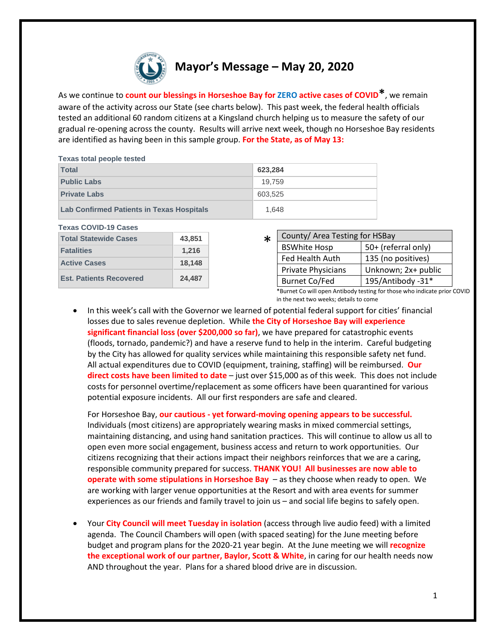

As we continue to **count our blessings in Horseshoe Bay for ZERO active cases of COVID\***, we remain aware of the activity across our State (see charts below). This past week, the federal health officials tested an additional 60 random citizens at a Kingsland church helping us to measure the safety of our gradual re-opening across the county. Results will arrive next week, though no Horseshoe Bay residents are identified as having been in this sample group. **For the State, as of May 13:**

| <b>Texas total people tested</b>                 |         |
|--------------------------------------------------|---------|
| <b>Total</b>                                     | 623.284 |
| <b>Public Labs</b>                               | 19.759  |
| <b>Private Labs</b>                              | 603.525 |
| <b>Lab Confirmed Patients in Texas Hospitals</b> | 1.648   |

| <b>Texas COVID-19 Cases</b>    |        |
|--------------------------------|--------|
| <b>Total Statewide Cases</b>   | 43,851 |
| <b>Fatalities</b>              | 1,216  |
| <b>Active Cases</b>            | 18,148 |
| <b>Est. Patients Recovered</b> | 24,487 |

## County/ Area Testing for HSBay BSWhite Hosp | 50+ (referral only) Fed Health Auth | 135 (no positives) Private Physicians  $|$  Unknown; 2x+ public \*

Burnet Co/Fed | 195/Antibody -31\* \*Burnet Co will open Antibody testing for those who indicate prior COVID in the next two weeks; details to come

• In this week's call with the Governor we learned of potential federal support for cities' financial losses due to sales revenue depletion. While **the City of Horseshoe Bay will experience significant financial loss (over \$200,000 so far)**, we have prepared for catastrophic events (floods, tornado, pandemic?) and have a reserve fund to help in the interim. Careful budgeting by the City has allowed for quality services while maintaining this responsible safety net fund. All actual expenditures due to COVID (equipment, training, staffing) will be reimbursed. **Our direct costs have been limited to date** – just over \$15,000 as of this week. This does not include costs for personnel overtime/replacement as some officers have been quarantined for various potential exposure incidents. All our first responders are safe and cleared.

For Horseshoe Bay, **our cautious - yet forward-moving opening appears to be successful.**  Individuals (most citizens) are appropriately wearing masks in mixed commercial settings, maintaining distancing, and using hand sanitation practices. This will continue to allow us all to open even more social engagement, business access and return to work opportunities. Our citizens recognizing that their actions impact their neighbors reinforces that we are a caring, responsible community prepared for success. **THANK YOU! All businesses are now able to operate with some stipulations in Horseshoe Bay** – as they choose when ready to open. We are working with larger venue opportunities at the Resort and with area events for summer experiences as our friends and family travel to join us – and social life begins to safely open.

• Your **City Council will meet Tuesday in isolation** (access through live audio feed) with a limited agenda. The Council Chambers will open (with spaced seating) for the June meeting before budget and program plans for the 2020-21 year begin. At the June meeting we will **recognize the exceptional work of our partner, Baylor, Scott & White**, in caring for our health needs now AND throughout the year. Plans for a shared blood drive are in discussion.